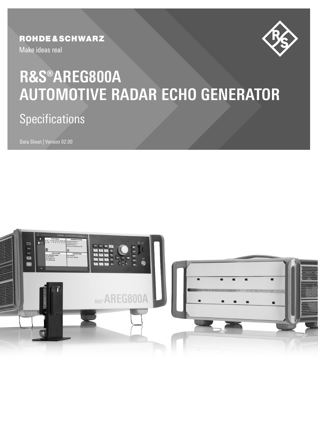## **ROHDE&SCHWARZ**

Make ideas real



# **AUTOMOTIVE RADAR ECHO GENERATOR R&S®AREG800A**

### $S$ nerifir: Specifications

Data Sheet | Version 02.00

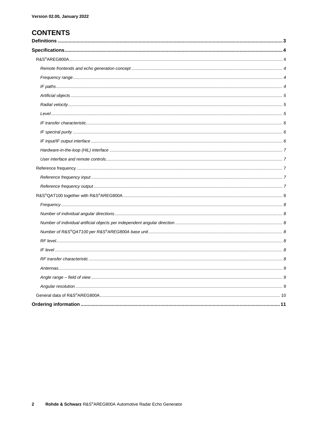### **CONTENTS**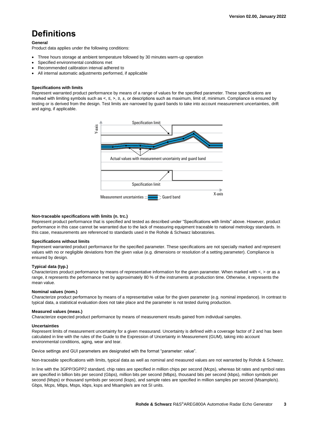# **Definitions**

#### **General**

Product data applies under the following conditions:

- Three hours storage at ambient temperature followed by 30 minutes warm-up operation
- Specified environmental conditions met
- Recommended calibration interval adhered to
- All internal automatic adjustments performed, if applicable

#### **Specifications with limits**

Represent warranted product performance by means of a range of values for the specified parameter. These specifications are marked with limiting symbols such as <, ≤, >, ≥, ±, or descriptions such as maximum, limit of, minimum. Compliance is ensured by testing or is derived from the design. Test limits are narrowed by guard bands to take into account measurement uncertainties, drift and aging, if applicable.



#### **Non-traceable specifications with limits (n. trc.)**

Represent product performance that is specified and tested as described under "Specifications with limits" above. However, product performance in this case cannot be warranted due to the lack of measuring equipment traceable to national metrology standards. In this case, measurements are referenced to standards used in the Rohde & Schwarz laboratories.

#### **Specifications without limits**

Represent warranted product performance for the specified parameter. These specifications are not specially marked and represent values with no or negligible deviations from the given value (e.g. dimensions or resolution of a setting parameter). Compliance is ensured by design.

#### **Typical data (typ.)**

Characterizes product performance by means of representative information for the given parameter. When marked with <, > or as a range, it represents the performance met by approximately 80 % of the instruments at production time. Otherwise, it represents the mean value.

#### **Nominal values (nom.)**

Characterize product performance by means of a representative value for the given parameter (e.g. nominal impedance). In contrast to typical data, a statistical evaluation does not take place and the parameter is not tested during production.

#### **Measured values (meas.)**

Characterize expected product performance by means of measurement results gained from individual samples.

#### **Uncertainties**

Represent limits of measurement uncertainty for a given measurand. Uncertainty is defined with a coverage factor of 2 and has been calculated in line with the rules of the Guide to the Expression of Uncertainty in Measurement (GUM), taking into account environmental conditions, aging, wear and tear.

Device settings and GUI parameters are designated with the format "parameter: value".

Non-traceable specifications with limits, typical data as well as nominal and measured values are not warranted by Rohde & Schwarz.

In line with the 3GPP/3GPP2 standard, chip rates are specified in million chips per second (Mcps), whereas bit rates and symbol rates are specified in billion bits per second (Gbps), million bits per second (Mbps), thousand bits per second (kbps), million symbols per second (Msps) or thousand symbols per second (ksps), and sample rates are specified in million samples per second (Msample/s). Gbps, Mcps, Mbps, Msps, kbps, ksps and Msample/s are not SI units.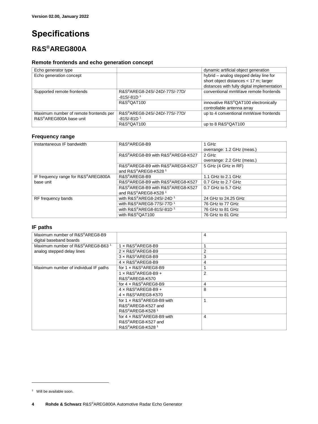# **Specifications**

### **R&S®AREG800A**

### **Remote frontends and echo generation concept**

<span id="page-3-0"></span>

| Echo generator type                                              |                                                                        | dynamic artificial object generation                               |
|------------------------------------------------------------------|------------------------------------------------------------------------|--------------------------------------------------------------------|
| Echo generation concept                                          |                                                                        | hybrid - analog stepped delay line for                             |
|                                                                  |                                                                        | short object distances $<$ 17 m; larger                            |
|                                                                  |                                                                        | distances with fully digital implementation                        |
| Supported remote frontends                                       | R&S <sup>®</sup> AREG8-24S/-24D/-77S/-77D/<br>$-81S/-81D1$             | conventional mmWave remote frontends                               |
|                                                                  | R&S <sup>®</sup> QAT100                                                | innovative R&S®QAT100 electronically<br>controllable antenna array |
| Maximum number of remote frontends per<br>R&S®AREG800A base unit | R&S <sup>®</sup> AREG8-24S/-24D/-77S/-77D/<br>$-81S/-81D$ <sup>1</sup> | up to 4 conventional mmWave frontends                              |
|                                                                  | R&S <sup>®</sup> QAT100                                                | up to 8 R&S®QAT100                                                 |

### **Frequency range**

| Instantaneous IF bandwidth          | R&S <sup>®</sup> AREG8-B9                         | 1 GHz                      |
|-------------------------------------|---------------------------------------------------|----------------------------|
|                                     |                                                   | overrange: 1.2 GHz (meas.) |
|                                     | R&S®AREG8-B9 with R&S®AREG8-K527                  | 2 GHz                      |
|                                     |                                                   | overrange: 2.2 GHz (meas.) |
|                                     | R&S®AREG8-B9 with R&S®AREG8-K527                  | 5 GHz (4 GHz in RF)        |
|                                     | and R&S®AREG8-K528 <sup>1</sup>                   |                            |
| IF frequency range for R&S®AREG800A | R&S <sup>®</sup> AREG8-B9                         | 1.1 GHz to 2.1 GHz         |
| base unit                           | R&S®AREG8-B9 with R&S®AREG8-K527                  | 0.7 GHz to 2.7 GHz         |
|                                     | R&S®AREG8-B9 with R&S®AREG8-K527                  | 0.7 GHz to 5.7 GHz         |
|                                     | and R&S®AREG8-K528 <sup>1</sup>                   |                            |
| RF frequency bands                  | with R&S®AREG8-24S/-24D 1                         | 24 GHz to 24.25 GHz        |
|                                     | with R&S <sup>®</sup> AREG8-77S/-77D <sup>1</sup> | 76 GHz to 77 GHz           |
|                                     | with R&S®AREG8-81S/-81D <sup>1</sup>              | 76 GHz to 81 GHz           |
|                                     | with R&S®QAT100                                   | 76 GHz to 81 GHz           |

### **IF paths**

| Maximum number of R&S®AREG8-B9<br>digital baseband boards |                                                 | 4 |
|-----------------------------------------------------------|-------------------------------------------------|---|
| Maximum number of R&S®AREG8-B63 <sup>1</sup>              | 1 x R&S®AREG8-B9                                |   |
| analog stepped delay lines                                | $2 \times R$ &S®AREG8-B9                        | 2 |
|                                                           | $3 \times R$ &S®AREG8-B9                        | 3 |
|                                                           | $4 \times R$ &S®AREG8-B9                        | 4 |
| Maximum number of individual IF paths                     | for $1 \times R$ & $S$ <sup>®</sup> $A$ REG8-B9 |   |
|                                                           | $1 \times R$ &S®AREG8-B9 +                      | 2 |
|                                                           | R&S®AREG8-K570                                  |   |
|                                                           | for $4 \times R$ &S®AREG8-B9                    | 4 |
|                                                           | 4 x R&S®AREG8-B9 +                              | 8 |
|                                                           | $4 \times R$ &S®AREG8-K570                      |   |
|                                                           | for 1 x R&S®AREG8-B9 with                       |   |
|                                                           | R&S®AREG8-K527 and                              |   |
|                                                           | R&S®AREG8-K528 <sup>1</sup>                     |   |
|                                                           | for $4 \times R$ &S®AREG8-B9 with               | 4 |
|                                                           | R&S®AREG8-K527 and                              |   |
|                                                           | R&S <sup>®</sup> AREG8-K528 <sup>1</sup>        |   |

 $\overline{a}$ 

<sup>&</sup>lt;sup>1</sup> Will be available soon.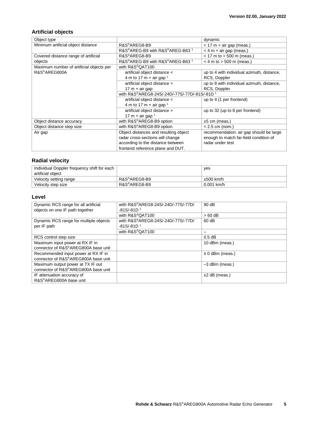### **Artificial objects**

| Object type                              |                                               | dynamic                                    |
|------------------------------------------|-----------------------------------------------|--------------------------------------------|
| Minimum artificial object distance       | R&S®AREG8-B9                                  | $<$ 17 m + air gap (meas.)                 |
|                                          | R&S®AREG-B9 with R&S®AREG-B63 1               | $<$ 4 m + air gap (meas.)                  |
| Covered distance range of artificial     | R&S®AREG8-B9                                  | $<$ 17 m to $>$ 500 m (meas.)              |
| objects                                  | R&S®AREG-B9 with R&S®AREG-B63 1               | $<$ 4 m to $>$ 500 m (meas.)               |
| Maximum number of artificial objects per | with R&S®QAT100                               |                                            |
| R&S <sup>®</sup> AREG800A                | artificial object distance <                  | up to 4 with individual azimuth, distance, |
|                                          | 4 m to 17 m + air gap $1$                     | RCS, Doppler                               |
|                                          | artificial object distance >                  | up to 8 with individual azimuth, distance, |
|                                          | $17 m + air$ gap                              | RCS, Doppler                               |
|                                          | with R&S®AREG8-24S/-24D/-77S/-77D/-81S/-81D 1 |                                            |
|                                          | artificial object distance <                  | up to 4 (1 per frontend)                   |
|                                          | 4 m to 17 m + air gap $1$                     |                                            |
|                                          | artificial object distance >                  | up to 32 (up to 8 per frontend)            |
|                                          | 17 m + air gap $1$                            |                                            |
| Object distance accuracy                 | with R&S®AREG8-B9 option                      | $±5$ cm (meas.)                            |
| Object distance step size                | with R&S®AREG8-B9 option                      | $< 2.5$ cm (nom.)                          |
| Air gap                                  | Object distances and resulting object         | recommendation: air gap should be large    |
|                                          | radar cross-sections will change              | enough to match far-field condition of     |
|                                          | according to the distance between             | radar under test                           |
|                                          | frontend reference plane and DUT.             |                                            |

### **Radial velocity**

| Individual Doppler frequency shift for each<br>artificial object |              | ves            |
|------------------------------------------------------------------|--------------|----------------|
| Velocity setting range                                           | R&S®AREG8-B9 | $\pm 500$ km/h |
| Velocity step size                                               | R&S®AREG8-B9 | $0.001$ km/h   |

### **Level**

| Dynamic RCS range for all artificial<br>objects on one IF path together    | with R&S®AREG8-24S/-24D/-77S/-77D/<br>$-81S/-81D$ <sup>1</sup> | 90dB                 |
|----------------------------------------------------------------------------|----------------------------------------------------------------|----------------------|
|                                                                            | with R&S®QAT100                                                | $>60$ dB             |
| Dynamic RCS range for multiple objects<br>per IF path                      | with R&S®AREG8-24S/-24D/-77S/-77D/<br>$-81S/-81D$ <sup>1</sup> | 60 dB                |
|                                                                            | with R&S®QAT100                                                | $\qquad \qquad$      |
| RCS control step size                                                      |                                                                | $0.5$ dB             |
| Maximum input power at RX IF in<br>connector of R&S®AREG800A base unit     |                                                                | 10 dBm (meas.)       |
| Recommended input power at RX IF in<br>connector of R&S®AREG800A base unit |                                                                | $\leq 0$ dBm (meas.) |
| Maximum output power at TX IF out<br>connector of R&S®AREG800A base unit   |                                                                | $-3$ dBm (meas.)     |
| IF attenuation accuracy of<br>R&S®AREG800A base unit                       |                                                                | $±2$ dB (meas.)      |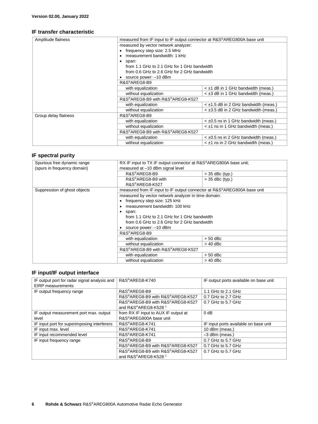### **IF transfer characteristic**

| Amplitude flatness   | measured from IF input to IF output connector at R&S®AREG800A base unit |                                            |
|----------------------|-------------------------------------------------------------------------|--------------------------------------------|
|                      | measured by vector network analyzer:                                    |                                            |
|                      | • frequency step size: 2.5 MHz                                          |                                            |
|                      | measurement bandwidth: 1 kHz                                            |                                            |
|                      | span:<br>$\bullet$                                                      |                                            |
|                      | from 1.1 GHz to 2.1 GHz for 1 GHz bandwidth                             |                                            |
|                      | from 0.6 GHz to 2.6 GHz for 2 GHz bandwidth                             |                                            |
|                      | source power: -10 dBm                                                   |                                            |
|                      | R&S®AREG8-B9                                                            |                                            |
|                      | with equalization                                                       | $\leq \pm 1$ dB in 1 GHz bandwidth (meas.) |
|                      | without equalization                                                    | $\leq$ ±3 dB in 1 GHz bandwidth (meas.)    |
|                      | R&S®AREG8-B9 with R&S®AREG8-K527                                        |                                            |
|                      | with equalization                                                       | $\leq$ ±1.5 dB in 2 GHz bandwidth (meas.)  |
|                      | without equalization                                                    | $\leq$ ±3.5 dB in 2 GHz bandwidth (meas.)  |
| Group delay flatness | R&S®AREG8-B9                                                            |                                            |
|                      | with equalization                                                       | $<$ ±0.5 ns in 1 GHz bandwidth (meas.)     |
|                      | without equalization                                                    | $\leq \pm 1$ ns in 1 GHz bandwidth (meas.) |
|                      | R&S®AREG8-B9 with R&S®AREG8-K527                                        |                                            |
|                      | with equalization                                                       | $<$ ±0.5 ns in 2 GHz bandwidth (meas.)     |
|                      | without equalization                                                    | $\leq \pm 1$ ns in 2 GHz bandwidth (meas.) |

### **IF spectral purity**

| Spurious free dynamic range<br>(spurs in frequency domain) | RX IF input to TX IF output connector at R&S®AREG800A base unit;<br>measured at -10 dBm signal level                                                                                                                                                               |                   |
|------------------------------------------------------------|--------------------------------------------------------------------------------------------------------------------------------------------------------------------------------------------------------------------------------------------------------------------|-------------------|
|                                                            | R&S®AREG8-B9                                                                                                                                                                                                                                                       | $>$ 35 dBc (typ.) |
|                                                            | R&S <sup>®</sup> AREG8-B9 with<br>R&S®AREG8-K527                                                                                                                                                                                                                   | $>$ 35 dBc (typ.) |
| Suppression of ghost objects                               | measured from IF input to IF output connector at R&S®AREG800A base unit                                                                                                                                                                                            |                   |
|                                                            | measured by vector network analyzer in time domain:<br>frequency step size: 125 kHz<br>measurement bandwidth: 100 kHz<br>span:<br>$\bullet$<br>from 1.1 GHz to 2.1 GHz for 1 GHz bandwidth<br>from 0.6 GHz to 2.6 GHz for 2 GHz bandwidth<br>source power: -10 dBm |                   |
|                                                            | R&S <sup>®</sup> AREG8-B9<br>with equalization                                                                                                                                                                                                                     | $> 50$ dBc        |
|                                                            | without equalization                                                                                                                                                                                                                                               | $> 40$ dBc        |
|                                                            | R&S®AREG8-B9 with R&S®AREG8-K527                                                                                                                                                                                                                                   |                   |
|                                                            | with equalization                                                                                                                                                                                                                                                  | $> 50$ dBc        |
|                                                            | without equalization                                                                                                                                                                                                                                               | $>$ 40 dBc        |

### **IF input/IF output interface**

| IF output port for radar signal analysis and<br><b>EIRP</b> measurements | R&S®AREG8-K740                                                      | IF output ports available on base unit |
|--------------------------------------------------------------------------|---------------------------------------------------------------------|----------------------------------------|
| IF output frequency range                                                | R&S®AREG8-B9                                                        | 1.1 GHz to 2.1 GHz                     |
|                                                                          | R&S®AREG8-B9 with R&S®AREG8-K527                                    | 0.7 GHz to 2.7 GHz                     |
|                                                                          | R&S®AREG8-B9 with R&S®AREG8-K527<br>and R&S®AREG8-K528 <sup>1</sup> | 0.7 GHz to 5.7 GHz                     |
| IF output measurement port max. output                                   | from RX IF input to AUX IF output at                                | 0 <sub>d</sub> B                       |
| level                                                                    | R&S®AREG800A base unit                                              |                                        |
| IF input port for superimposing interferers                              | R&S®AREG8-K741                                                      | IF input ports available on base unit  |
| IF input max. level                                                      | R&S <sup>®</sup> AREG8-K741                                         | 10 dBm (meas.)                         |
| IF input recommended level                                               | R&S®AREG8-K741                                                      | $-3$ dBm (meas.)                       |
| IF input frequency range                                                 | R&S®AREG8-B9                                                        | 0.7 GHz to 5.7 GHz                     |
|                                                                          | R&S®AREG8-B9 with R&S®AREG8-K527                                    | 0.7 GHz to 5.7 GHz                     |
|                                                                          | R&S®AREG8-B9 with R&S®AREG8-K527                                    | 0.7 GHz to 5.7 GHz                     |
|                                                                          | and R&S®AREG8-K528 <sup>1</sup>                                     |                                        |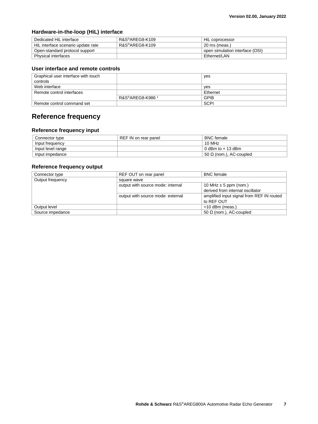### **Hardware-in-the-loop (HiL) interface**

| Dedicated HiL interface            | R&S®AREG8-K109 | HiL coprocessor                 |
|------------------------------------|----------------|---------------------------------|
| HiL interface scenario update rate | R&S®AREG8-K109 | 20 ms (meas.)                   |
| Open-standard protocol support     |                | open simulation interface (OSI) |
| Physical interfaces                |                | Ethernet/LAN                    |

### **User interface and remote controls**

| Graphical user interface with touch |                             | yes         |
|-------------------------------------|-----------------------------|-------------|
| controls                            |                             |             |
| Web interface                       |                             | ves         |
| Remote control interfaces           |                             | Ethernet    |
|                                     | R&S®AREG8-K986 <sup>1</sup> | <b>GPIB</b> |
| Remote control command set          |                             | <b>SCPI</b> |

### **Reference frequency**

### **Reference frequency input**

| Connector type    | REF IN on rear panel | <b>BNC</b> female         |
|-------------------|----------------------|---------------------------|
| Input frequency   |                      | 10 MHz                    |
| Input level range |                      | 0 dBm to $+13$ dBm        |
| Input impedance   |                      | $50$ Ω (nom.), AC-coupled |

### **Reference frequency output**

| Connector type   | REF OUT on rear panel             | <b>BNC</b> female                         |
|------------------|-----------------------------------|-------------------------------------------|
| Output frequency | square wave                       |                                           |
|                  | output with source mode: internal | 10 MHz $\pm$ 5 ppm (nom.)                 |
|                  |                                   | derived from internal oscillator          |
|                  | output with source mode: external | amplified input signal from REF IN routed |
|                  |                                   | to REF OUT                                |
| Output level     |                                   | $+10$ dBm (meas.)                         |
| Source impedance |                                   | 50 $\Omega$ (nom.), AC-coupled            |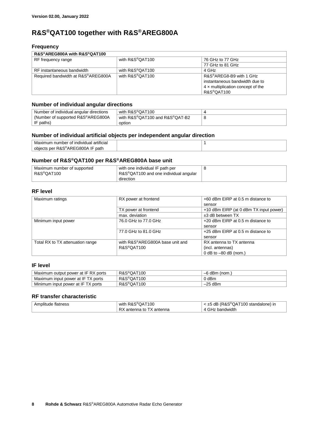### **R&S®QAT100 together with R&S®AREG800A**

### **Frequency**

### **R&S®AREG800A with R&S®QAT100**

| <b>NGO ANLOOVA WILLI NGO GATTVU</b> |                              |                                   |
|-------------------------------------|------------------------------|-----------------------------------|
| RF frequency range                  | with R&S <sup>®</sup> QAT100 | 76 GHz to 77 GHz                  |
|                                     |                              | 77 GHz to 81 GHz                  |
| RF instantaneous bandwidth          | with R&S <sup>®</sup> QAT100 | 4 GHz                             |
| Required bandwidth at R&S®AREG800A  | with R&S®QAT100              | R&S®AREG8-B9 with 1 GHz           |
|                                     |                              | instantaneous bandwidth due to    |
|                                     |                              | 4 x multiplication concept of the |
|                                     |                              | R&S®QAT100                        |

### **Number of individual angular directions**

| Number of individual angular directions | with R&S®QAT100                |  |
|-----------------------------------------|--------------------------------|--|
| (Number of supported R&S®AREG800A)      | with R&S®QAT100 and R&S®QAT-B2 |  |
| IF paths)                               | option                         |  |

### **Number of individual artificial objects per independent angular direction**

| .<br>Maxin<br>. individual .<br>artıfıcıal<br>, number<br>∸∩t<br>nu |  |
|---------------------------------------------------------------------|--|
| per R&S®AREG800 ،<br>path<br>objects                                |  |

### **Number of R&S®QAT100 per R&S®AREG800A base unit**

| Maximum number of supported | with one individual IF path per                    |  |
|-----------------------------|----------------------------------------------------|--|
| R&S®QAT100                  | $RAS^{\circledR}QAT100$ and one individual angular |  |
|                             | direction                                          |  |

### **RF level**

| Maximum ratings                  | RX power at frontend            | +60 dBm EIRP at 0.5 m distance to      |
|----------------------------------|---------------------------------|----------------------------------------|
|                                  |                                 | sensor                                 |
|                                  | TX power at frontend            | +10 dBm EIRP (at 0 dBm TX input power) |
|                                  | max. deviation                  | $±3$ dB between TX                     |
| Minimum input power              | 76.0 GHz to 77.0 GHz            | +20 dBm EIRP at 0.5 m distance to      |
|                                  |                                 | sensor                                 |
|                                  | 77.0 GHz to 81.0 GHz            | +25 dBm EIRP at 0.5 m distance to      |
|                                  |                                 | sensor                                 |
| Total RX to TX attenuation range | with R&S®AREG800A base unit and | RX antenna to TX antenna               |
|                                  | R&S®QAT100                      | (incl. antennas)                       |
|                                  |                                 | 0 dB to $-80$ dB (nom.)                |

### **IF level**

| Maximum output power at IF RX ports | R&S <sup>®</sup> QAT100 | dBm<br>(nom.) |
|-------------------------------------|-------------------------|---------------|
| Maximum input power at IF TX ports  | R&S <sup>®</sup> QAT100 | 0 dBm         |
| Minimum input power at IF TX ports  | R&S <sup>®</sup> QAT100 | –25 dBm       |

### **RF transfer characteristic**

| Amplitude flatness | with R&S <sup>®</sup> QAT100 | $\leq$ ±5 dB (R&S®QAT100 standalone) in |
|--------------------|------------------------------|-----------------------------------------|
|                    | RX<br>Santenna to TX antenna | ⋅ GHz bandwidth                         |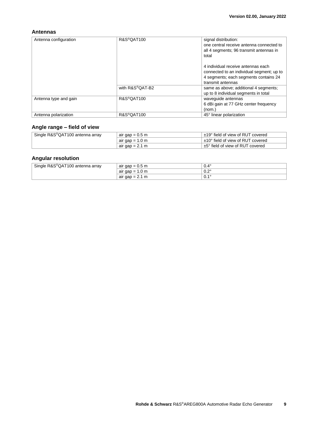### **Antennas**

| Antenna configuration | R&S <sup>®</sup> QAT100 | signal distribution:<br>one central receive antenna connected to<br>all 4 segments; 96 transmit antennas in<br>total                          |
|-----------------------|-------------------------|-----------------------------------------------------------------------------------------------------------------------------------------------|
|                       |                         | 4 individual receive antennas each<br>connected to an individual segment; up to<br>4 segments; each segments contains 24<br>transmit antennas |
|                       | with R&S®OAT-B2         | same as above; additional 4 segments;<br>up to 8 individual segments in total                                                                 |
| Antenna type and gain | R&S <sup>®</sup> QAT100 | wavequide antennas<br>6 dBi gain at 77 GHz center frequency<br>(nom.)                                                                         |
| Antenna polarization  | R&S <sup>®</sup> QAT100 | 45° linear polarization                                                                                                                       |

### **Angle range – field of view**

| Single R&S <sup>®</sup> QAT100 antenna array | air gap = $0.5$ m         | ±19° field of view of RUT covered |
|----------------------------------------------|---------------------------|-----------------------------------|
|                                              | air gap = $1.0 \text{ m}$ | ±10° field of view of RUT covered |
|                                              | air gap = $2.1 \text{ m}$ | ±5° field of view of RUT covered  |

### **Angular resolution**

| Single R&S <sup>®</sup> QAT100 antenna array | air gap = $0.5$ m       | $0.4^\circ$           |
|----------------------------------------------|-------------------------|-----------------------|
|                                              | 1.0 m<br>air gap<br>$=$ | י ה<br>v.z            |
|                                              | air gap $= 2.1$<br>m    | $\overline{A}$<br>υ., |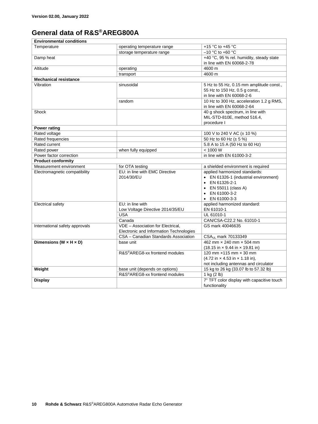### **General data of R&S®AREG800A**

| <b>Environmental conditions</b>      |                                            |                                                                     |  |
|--------------------------------------|--------------------------------------------|---------------------------------------------------------------------|--|
| Temperature                          | operating temperature range                | +15 °C to +45 °C                                                    |  |
|                                      | storage temperature range                  | $-10$ °C to +60 °C                                                  |  |
| Damp heat                            |                                            | +40 °C, 95 % rel. humidity, steady state                            |  |
|                                      |                                            | in line with EN 60068-2-78                                          |  |
| Altitude                             | operating                                  | 4600 m                                                              |  |
|                                      | transport                                  | 4600 m                                                              |  |
| <b>Mechanical resistance</b>         |                                            |                                                                     |  |
| Vibration                            | sinusoidal                                 | 5 Hz to 55 Hz, 0.15 mm amplitude const.,                            |  |
|                                      |                                            | 55 Hz to 150 Hz, 0.5 g const.,                                      |  |
|                                      |                                            | in line with EN 60068-2-6                                           |  |
|                                      | random                                     | 10 Hz to 300 Hz, acceleration 1.2 g RMS,                            |  |
|                                      |                                            | in line with EN 60068-2-64                                          |  |
| Shock                                |                                            | 40 g shock spectrum, in line with                                   |  |
|                                      |                                            | MIL-STD-810E, method 516.4,                                         |  |
|                                      |                                            | procedure I                                                         |  |
| <b>Power rating</b>                  |                                            |                                                                     |  |
| Rated voltage                        |                                            | 100 V to 240 V AC ( $\pm$ 10 %)                                     |  |
| Rated frequencies                    |                                            | 50 Hz to 60 Hz (± 5 %)                                              |  |
| Rated current                        |                                            | 5.8 A to 15 A (50 Hz to 60 Hz)                                      |  |
| Rated power                          | when fully equipped                        | < 1000 W                                                            |  |
| Power factor correction              |                                            | in line with EN 61000-3-2                                           |  |
| <b>Product conformity</b>            |                                            |                                                                     |  |
|                                      |                                            |                                                                     |  |
| Measurement environment              | for OTA testing                            | a shielded environment is required                                  |  |
| Electromagnetic compatibility        | EU: in line with EMC Directive             | applied harmonized standards:                                       |  |
|                                      | 2014/30/EU                                 | • EN 61326-1 (industrial environment)                               |  |
|                                      |                                            | EN 61326-2-1                                                        |  |
|                                      |                                            | EN 55011 (class A)                                                  |  |
|                                      |                                            | EN 61000-3-2                                                        |  |
|                                      |                                            | EN 61000-3-3                                                        |  |
| <b>Electrical safety</b>             | EU: in line with                           | applied harmonized standard:                                        |  |
|                                      | Low Voltage Directive 2014/35/EU           | EN 61010-1                                                          |  |
|                                      | <b>USA</b>                                 | UL 61010-1                                                          |  |
|                                      | Canada                                     | CAN/CSA-C22.2 No. 61010-1                                           |  |
| International safety approvals       | VDE - Association for Electrical,          | GS mark 40046635                                                    |  |
|                                      | Electronic and Information Technologies    |                                                                     |  |
|                                      | CSA - Canadian Standards Association       | CSA <sub>UL</sub> mark 70133349                                     |  |
| Dimensions (W $\times$ H $\times$ D) | base unit                                  | 462 mm × 240 mm × 504 mm                                            |  |
|                                      |                                            | $(18.15 \text{ in} \times 9.44 \text{ in} \times 19.81 \text{ in})$ |  |
|                                      | R&S®AREG8-xx frontend modules              | 120 mm x115 mm x 30 mm                                              |  |
|                                      |                                            | $(4.72 \text{ in} \times 4.53 \text{ in} \times 1.18 \text{ in}),$  |  |
|                                      |                                            | not including antennas and circulator                               |  |
| Weight                               | base unit (depends on options)             | 15 kg to 26 kg (33.07 lb to 57.32 lb)                               |  |
|                                      | R&S <sup>®</sup> AREG8-xx frontend modules | 1 kg (2 lb)                                                         |  |
| Display                              |                                            | 7" TFT color display with capacitive touch                          |  |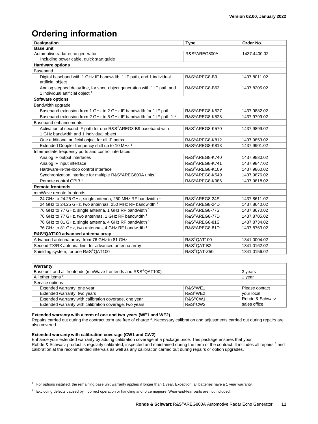# **Ordering information**

| <b>Designation</b>                                                                                                       | <b>Type</b>                 | Order No.    |  |  |
|--------------------------------------------------------------------------------------------------------------------------|-----------------------------|--------------|--|--|
| <b>Base unit</b>                                                                                                         |                             |              |  |  |
| Automotive radar echo generator                                                                                          | R&S <sup>®</sup> AREG800A   | 1437.4400.02 |  |  |
| Including power cable, quick start guide                                                                                 |                             |              |  |  |
| <b>Hardware options</b>                                                                                                  |                             |              |  |  |
| Baseband                                                                                                                 |                             |              |  |  |
| Digital baseband with 1 GHz IF bandwidth, 1 IF path, and 1 individual<br>artificial object                               | R&S®AREG8-B9                | 1437.8011.02 |  |  |
| Analog stepped delay line, for short object generation with 1 IF path and<br>1 individual artificial object <sup>1</sup> | R&S®AREG8-B63               | 1437.8205.02 |  |  |
| <b>Software options</b>                                                                                                  |                             |              |  |  |
| Bandwidth upgrade                                                                                                        |                             |              |  |  |
| Baseband extension from 1 GHz to 2 GHz IF bandwidth for 1 IF path                                                        | R&S®AREG8-K527              | 1437.9882.02 |  |  |
| Baseband extension from 2 GHz to 5 GHz IF bandwidth for 1 IF path 1 <sup>1</sup>                                         | R&S®AREG8-K528              | 1437.9799.02 |  |  |
| <b>Baseband enhancements</b>                                                                                             |                             |              |  |  |
| Activation of second IF path for one R&S®AREG8-B9 baseband with                                                          | R&S®AREG8-K570              | 1437.9899.02 |  |  |
| 1 GHz bandwidth and 1 individual object                                                                                  |                             |              |  |  |
| One additional artificial object for all IF paths                                                                        | R&S <sup>®</sup> AREG8-K812 | 1437.9853.02 |  |  |
| Extended Doppler frequency shift up to 10 MHz <sup>1</sup>                                                               | R&S <sup>®</sup> AREG8-K813 | 1437.9901.02 |  |  |
| Intermediate frequency ports and control interfaces                                                                      |                             |              |  |  |
| Analog IF output interfaces                                                                                              | R&S®AREG8-K740              | 1437.9830.02 |  |  |
| Analog IF input interface                                                                                                | R&S <sup>®</sup> AREG8-K741 | 1437.9847.02 |  |  |
| Hardware-in-the-loop control interface                                                                                   | R&S <sup>®</sup> AREG8-K109 | 1437.9860.02 |  |  |
| Synchronization interface for multiple R&S®AREG800A units <sup>1</sup>                                                   | R&S <sup>®</sup> AREG8-K549 | 1437.9876.02 |  |  |
| Remote control GPIB <sup>1</sup>                                                                                         | R&S®AREG8-K986              | 1437.9818.02 |  |  |
| <b>Remote frontends</b>                                                                                                  |                             |              |  |  |
| mmWave remote frontends                                                                                                  |                             |              |  |  |
| 24 GHz to 24.25 GHz, single antenna, 250 MHz RF bandwidth 1                                                              | R&S®AREG8-24S               | 1437.8611.02 |  |  |
| 24 GHz to 24.25 GHz, two antennas, 250 MHz RF bandwidth 1                                                                | R&S®AREG8-24D               | 1437.8640.02 |  |  |
| 76 GHz to 77 GHz, single antenna, 1 GHz RF bandwidth 1                                                                   | R&S <sup>®</sup> AREG8-77S  | 1437.8670.02 |  |  |
| 76 GHz to 77 GHz, two antennas, 1 GHz RF bandwidth 1                                                                     | R&S <sup>®</sup> AREG8-77D  | 1437.8705.02 |  |  |
| 76 GHz to 81 GHz, single antenna, 4 GHz RF bandwidth 1                                                                   | R&S®AREG8-81S               | 1437.8734.02 |  |  |
| 76 GHz to 81 GHz, two antennas, 4 GHz RF bandwidth 1                                                                     | R&S®AREG8-81D               | 1437.8763.02 |  |  |
| R&S®QAT100 advanced antenna array                                                                                        |                             |              |  |  |
| Advanced antenna array, from 76 GHz to 81 GHz                                                                            | R&S®QAT100                  | 1341.0004.02 |  |  |
| Second TX/RX antenna line, for advanced antenna array                                                                    | R&S <sup>®</sup> QAT-B2     | 1341.0162.02 |  |  |
| Shielding system, for one R&S®QAT100                                                                                     | R&S®QAT-Z50                 | 1341.0156.02 |  |  |

| Warranty                                                                   |                      |                 |  |  |
|----------------------------------------------------------------------------|----------------------|-----------------|--|--|
| Base unit and all frontends (mmWave frontends and R&S <sup>®</sup> QAT100) | 3 years              |                 |  |  |
| All other items <sup>2</sup>                                               |                      | 1 vear          |  |  |
| Service options                                                            |                      |                 |  |  |
| Extended warranty, one year                                                | R&S <sup>®</sup> WE1 | Please contact  |  |  |
| Extended warranty, two years                                               | R&S <sup>®</sup> WE2 | your local      |  |  |
| Extended warranty with calibration coverage, one year                      | R&S <sup>®</sup> CW1 | Rohde & Schwarz |  |  |
| Extended warranty with calibration coverage, two years                     | R&S <sup>®</sup> CW2 | sales office.   |  |  |

#### **Extended warranty with a term of one and two years (WE1 and WE2)**

<span id="page-10-0"></span>Repairs carried out during the contract term are free of charge <sup>3</sup>. Necessary calibration and adjustments carried out during repairs are also covered.

#### **Extended warranty with calibration coverage (CW1 and CW2)**

l

Enhance your extended warranty by adding calibration coverage at a package price. This package ensures that your Rohde & Schwarz product is regularly calibrated, inspected and maintained during the term of the contract. It includes all repairs <sup>[3](#page-10-0)</sup> and calibration at the recommended intervals as well as any calibration carried out during repairs or option upgrades.

 $2$  For options installed, the remaining base unit warranty applies if longer than 1 year. Exception: all batteries have a 1 year warranty.

<sup>&</sup>lt;sup>3</sup> Excluding defects caused by incorrect operation or handling and force majeure. Wear-and-tear parts are not included.